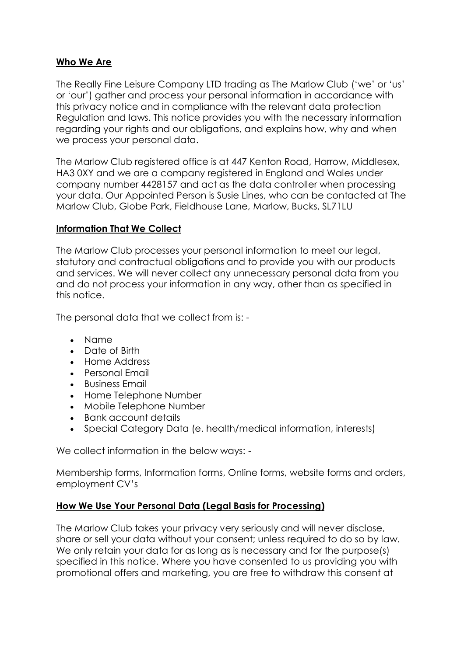### **Who We Are**

The Really Fine Leisure Company LTD trading as The Marlow Club ('we' or 'us' or 'our') gather and process your personal information in accordance with this privacy notice and in compliance with the relevant data protection Regulation and laws. This notice provides you with the necessary information regarding your rights and our obligations, and explains how, why and when we process your personal data.

The Marlow Club registered office is at 447 Kenton Road, Harrow, Middlesex, HA3 0XY and we are a company registered in England and Wales under company number 4428157 and act as the data controller when processing your data. Our Appointed Person is Susie Lines, who can be contacted at The Marlow Club, Globe Park, Fieldhouse Lane, Marlow, Bucks, SL71LU

### **Information That We Collect**

The Marlow Club processes your personal information to meet our legal, statutory and contractual obligations and to provide you with our products and services. We will never collect any unnecessary personal data from you and do not process your information in any way, other than as specified in this notice.

The personal data that we collect from is: -

- Name
- Date of Birth
- Home Address
- Personal Email
- Business Email
- Home Telephone Number
- Mobile Telephone Number
- Bank account details
- Special Category Data (e. health/medical information, interests)

We collect information in the below ways: -

Membership forms, Information forms, Online forms, website forms and orders, employment CV's

## **How We Use Your Personal Data (Legal Basis for Processing)**

The Marlow Club takes your privacy very seriously and will never disclose, share or sell your data without your consent; unless required to do so by law. We only retain your data for as long as is necessary and for the purpose(s) specified in this notice. Where you have consented to us providing you with promotional offers and marketing, you are free to withdraw this consent at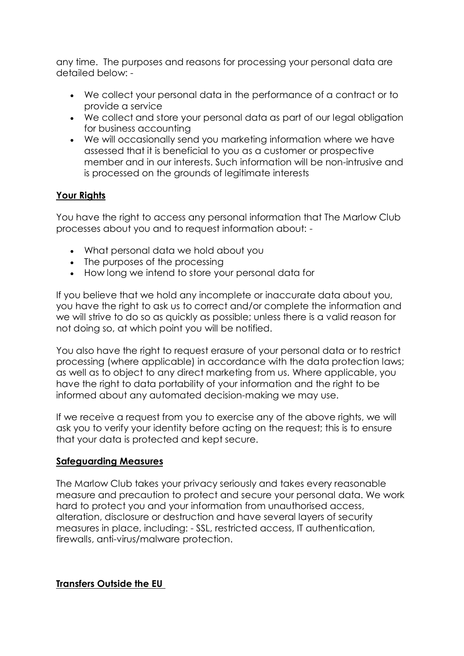any time. The purposes and reasons for processing your personal data are detailed below: -

- We collect your personal data in the performance of a contract or to provide a service
- We collect and store your personal data as part of our legal obligation for business accounting
- We will occasionally send you marketing information where we have assessed that it is beneficial to you as a customer or prospective member and in our interests. Such information will be non-intrusive and is processed on the grounds of legitimate interests

# **Your Rights**

You have the right to access any personal information that The Marlow Club processes about you and to request information about: -

- What personal data we hold about you
- The purposes of the processing
- How long we intend to store your personal data for

If you believe that we hold any incomplete or inaccurate data about you, you have the right to ask us to correct and/or complete the information and we will strive to do so as quickly as possible; unless there is a valid reason for not doing so, at which point you will be notified.

You also have the right to request erasure of your personal data or to restrict processing (where applicable) in accordance with the data protection laws; as well as to object to any direct marketing from us. Where applicable, you have the right to data portability of your information and the right to be informed about any automated decision-making we may use.

If we receive a request from you to exercise any of the above rights, we will ask you to verify your identity before acting on the request; this is to ensure that your data is protected and kept secure.

## **Safeguarding Measures**

The Marlow Club takes your privacy seriously and takes every reasonable measure and precaution to protect and secure your personal data. We work hard to protect you and your information from unauthorised access, alteration, disclosure or destruction and have several layers of security measures in place, including: - SSL, restricted access, IT authentication, firewalls, anti-virus/malware protection.

#### **Transfers Outside the EU**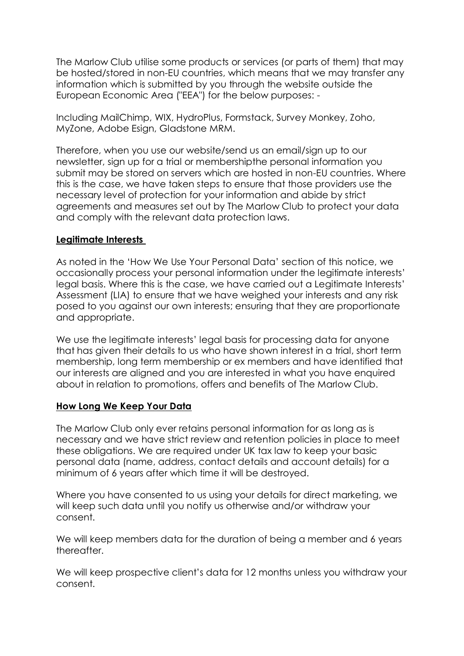The Marlow Club utilise some products or services (or parts of them) that may be hosted/stored in non-EU countries, which means that we may transfer any information which is submitted by you through the website outside the European Economic Area ("EEA") for the below purposes: -

Including MailChimp, WIX, HydroPlus, Formstack, Survey Monkey, Zoho, MyZone, Adobe Esign, Gladstone MRM.

Therefore, when you use our website/send us an email/sign up to our newsletter, sign up for a trial or membershipthe personal information you submit may be stored on servers which are hosted in non-EU countries. Where this is the case, we have taken steps to ensure that those providers use the necessary level of protection for your information and abide by strict agreements and measures set out by The Marlow Club to protect your data and comply with the relevant data protection laws.

#### **Legitimate Interests**

As noted in the 'How We Use Your Personal Data' section of this notice, we occasionally process your personal information under the legitimate interests' legal basis. Where this is the case, we have carried out a Legitimate Interests' Assessment (LIA) to ensure that we have weighed your interests and any risk posed to you against our own interests; ensuring that they are proportionate and appropriate.

We use the legitimate interests' legal basis for processing data for anyone that has given their details to us who have shown interest in a trial, short term membership, long term membership or ex members and have identified that our interests are aligned and you are interested in what you have enquired about in relation to promotions, offers and benefits of The Marlow Club.

## **How Long We Keep Your Data**

The Marlow Club only ever retains personal information for as long as is necessary and we have strict review and retention policies in place to meet these obligations. We are required under UK tax law to keep your basic personal data (name, address, contact details and account details) for a minimum of 6 years after which time it will be destroyed.

Where you have consented to us using your details for direct marketing, we will keep such data until you notify us otherwise and/or withdraw your consent.

We will keep members data for the duration of being a member and 6 years thereafter.

We will keep prospective client's data for 12 months unless you withdraw your consent.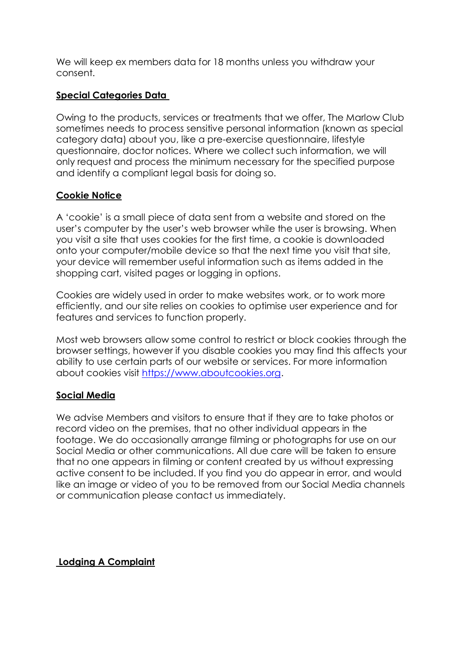We will keep ex members data for 18 months unless you withdraw your consent.

# **Special Categories Data**

Owing to the products, services or treatments that we offer, The Marlow Club sometimes needs to process sensitive personal information (known as special category data) about you, like a pre-exercise questionnaire, lifestyle questionnaire, doctor notices. Where we collect such information, we will only request and process the minimum necessary for the specified purpose and identify a compliant legal basis for doing so.

## **Cookie Notice**

A 'cookie' is a small piece of data sent from a website and stored on the user's computer by the user's web browser while the user is browsing. When you visit a site that uses cookies for the first time, a cookie is downloaded onto your computer/mobile device so that the next time you visit that site, your device will remember useful information such as items added in the shopping cart, visited pages or logging in options.

Cookies are widely used in order to make websites work, or to work more efficiently, and our site relies on cookies to optimise user experience and for features and services to function properly.

Most web browsers allow some control to restrict or block cookies through the browser settings, however if you disable cookies you may find this affects your ability to use certain parts of our website or services. For more information about cookies visit [https://www.aboutcookies.org.](https://www.aboutcookies.org/)

## **Social Media**

We advise Members and visitors to ensure that if they are to take photos or record video on the premises, that no other individual appears in the footage. We do occasionally arrange filming or photographs for use on our Social Media or other communications. All due care will be taken to ensure that no one appears in filming or content created by us without expressing active consent to be included. If you find you do appear in error, and would like an image or video of you to be removed from our Social Media channels or communication please contact us immediately.

## **Lodging A Complaint**